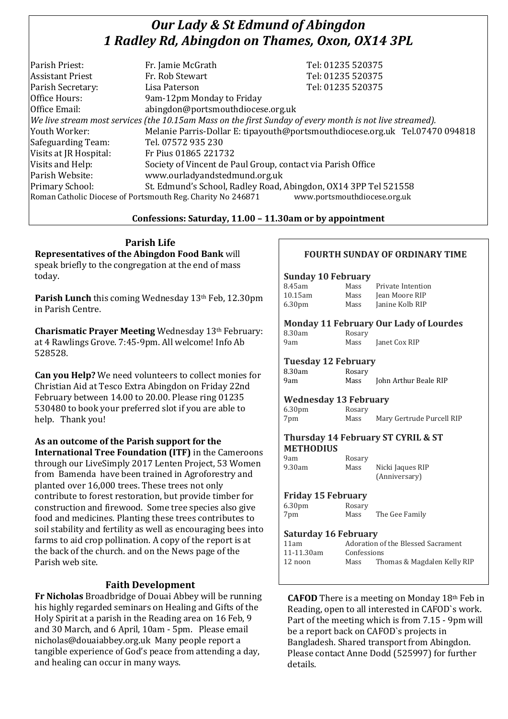# *Our Lady & St Edmund of Abingdon 1 Radley Rd, Abingdon on Thames, Oxon, OX14 3PL*

| Parish Priest:                                                                              | Fr. Jamie McGrath                                                                                        | Tel: 01235 520375                                                            |  |
|---------------------------------------------------------------------------------------------|----------------------------------------------------------------------------------------------------------|------------------------------------------------------------------------------|--|
| <b>Assistant Priest</b>                                                                     | Fr. Rob Stewart                                                                                          | Tel: 01235 520375                                                            |  |
| Parish Secretary:                                                                           | Lisa Paterson                                                                                            | Tel: 01235 520375                                                            |  |
| Office Hours:                                                                               | 9am-12pm Monday to Friday                                                                                |                                                                              |  |
| Office Email:                                                                               | abingdon@portsmouthdiocese.org.uk                                                                        |                                                                              |  |
|                                                                                             | We live stream most services (the 10.15am Mass on the first Sunday of every month is not live streamed). |                                                                              |  |
| Youth Worker:                                                                               |                                                                                                          | Melanie Parris-Dollar E: tipayouth@portsmouthdiocese.org.uk Tel.07470 094818 |  |
| Safeguarding Team:                                                                          | Tel. 07572 935 230                                                                                       |                                                                              |  |
| Visits at JR Hospital:                                                                      | Fr Pius 01865 221732                                                                                     |                                                                              |  |
| Visits and Help:                                                                            | Society of Vincent de Paul Group, contact via Parish Office                                              |                                                                              |  |
| Parish Website:                                                                             | www.ourladyandstedmund.org.uk                                                                            |                                                                              |  |
| Primary School:                                                                             | St. Edmund's School, Radley Road, Abingdon, OX14 3PP Tel 521558                                          |                                                                              |  |
| www.portsmouthdiocese.org.uk<br>Roman Catholic Diocese of Portsmouth Reg. Charity No 246871 |                                                                                                          |                                                                              |  |

### **Confessions: Saturday, 11.00 – 11.30am or by appointment**

**Parish Life Representatives of the Abingdon Food Bank** will speak briefly to the congregation at the end of mass today.

Parish Lunch this coming Wednesday 13<sup>th</sup> Feb, 12.30pm in Parish Centre.

**Charismatic Prayer Meeting** Wednesday 13th February: at 4 Rawlings Grove. 7:45-9pm. All welcome! Info Ab 528528.

**Can you Help?** We need volunteers to collect monies for Christian Aid at Tesco Extra Abingdon on Friday 22nd February between 14.00 to 20.00. Please ring 01235 530480 to book your preferred slot if you are able to help. Thank you!

**As an outcome of the Parish support for the International Tree Foundation (ITF)** in the Cameroons through our LiveSimply 2017 Lenten Project, 53 Women from Bamenda have been trained in Agroforestry and planted over 16,000 trees. These trees not only contribute to forest restoration, but provide timber for construction and firewood. Some tree species also give food and medicines. Planting these trees contributes to soil stability and fertility as well as encouraging bees into farms to aid crop pollination. A copy of the report is at the back of the church. and on the News page of the Parish web site.

# **Faith Development**

**Fr Nicholas** Broadbridge of Douai Abbey will be running his highly regarded seminars on Healing and Gifts of the Holy Spirit at a parish in the Reading area on 16 Feb, 9 and 30 March, and 6 April, 10am - 5pm. Please email nicholas@douaiabbey.org.uk Many people report a tangible experience of God's peace from attending a day, and healing can occur in many ways.

# **FOURTH SUNDAY OF ORDINARY TIME**

#### **Sunday 10 February**

| 8.45am             | Mass | Private Intention |
|--------------------|------|-------------------|
| $10.15$ am         | Mass | Jean Moore RIP    |
| 6.30 <sub>pm</sub> | Mass | Janine Kolb RIP   |

#### **Monday 11 February Our Lady of Lourdes**

8.30am Rosary

9am Mass Janet Cox RIP

#### **Tuesday 12 February**

8.30am Rosary 9am Mass John Arthur Beale RIP

#### **Wednesday 13 February**

6.30pm Rosary 7pm Mass Mary Gertrude Purcell RIP

#### **Thursday 14 February ST CYRIL & ST METHODIUS**

9am Rosary

9.30am Mass Nicki Jaques RIP (Anniversary)

#### **Friday 15 February**

6.30pm Rosary 7pm Mass The Gee Family

#### **Saturday 16 February**

| 11am       | Adoration of the Blessed Sacrament |                             |  |
|------------|------------------------------------|-----------------------------|--|
| 11-11.30am | Confessions                        |                             |  |
| 12 noon    | Mass                               | Thomas & Magdalen Kelly RIP |  |
|            |                                    |                             |  |

**CAFOD** There is a meeting on Monday 18th Feb in Reading, open to all interested in CAFOD`s work. Part of the meeting which is from 7.15 - 9pm will be a report back on CAFOD`s projects in Bangladesh. Shared transport from Abingdon. Please contact Anne Dodd (525997) for further details.